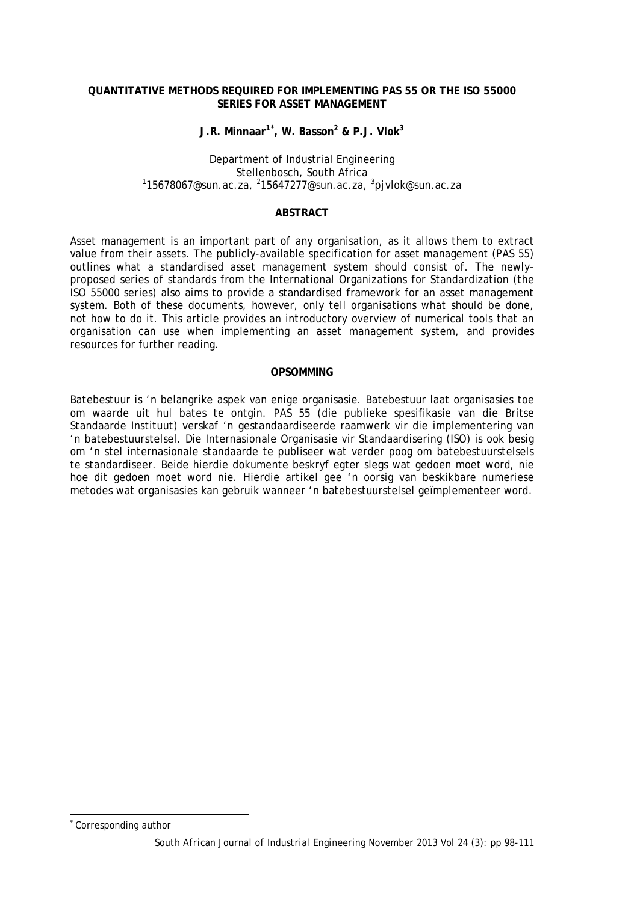### **QUANTITATIVE METHODS REQUIRED FOR IMPLEMENTING PAS 55 OR THE ISO 55000 SERIES FOR ASSET MANAGEMENT**

**J.R. Minnaar1[\\*](#page-0-0) , W. Basson2 & P.J. Vlok3**

Department of Industrial Engineering<br>Stellenbosch, South Africa Stellenbosch, South Africa<br><sup>1</sup>[15678067@sun.ac.za,](mailto:15678067@sun.ac.za) <sup>2</sup>[15647277@sun.ac.za,](mailto:15647277@sun.ac.za) <sup>3</sup>[pjvlok@sun.ac.za](mailto:pjvlok@sun.ac.za)

### **ABSTRACT**

Asset management is an important part of any organisation, as it allows them to extract value from their assets. The publicly-available specification for asset management (PAS 55) outlines what a standardised asset management system should consist of. The newlyproposed series of standards from the International Organizations for Standardization (the ISO 55000 series) also aims to provide a standardised framework for an asset management system. Both of these documents, however, only tell organisations what should be done, not how to do it. This article provides an introductory overview of numerical tools that an organisation can use when implementing an asset management system, and provides resources for further reading.

### **OPSOMMING**

Batebestuur is 'n belangrike aspek van enige organisasie. Batebestuur laat organisasies toe om waarde uit hul bates te ontgin. PAS 55 (die publieke spesifikasie van die Britse Standaarde Instituut) verskaf 'n gestandaardiseerde raamwerk vir die implementering van 'n batebestuurstelsel. Die Internasionale Organisasie vir Standaardisering (ISO) is ook besig om 'n stel internasionale standaarde te publiseer wat verder poog om batebestuurstelsels te standardiseer. Beide hierdie dokumente beskryf egter slegs wat gedoen moet word, nie hoe dit gedoen moet word nie. Hierdie artikel gee 'n oorsig van beskikbare numeriese metodes wat organisasies kan gebruik wanneer 'n batebestuurstelsel geïmplementeer word.

<span id="page-0-0"></span>Corresponding author l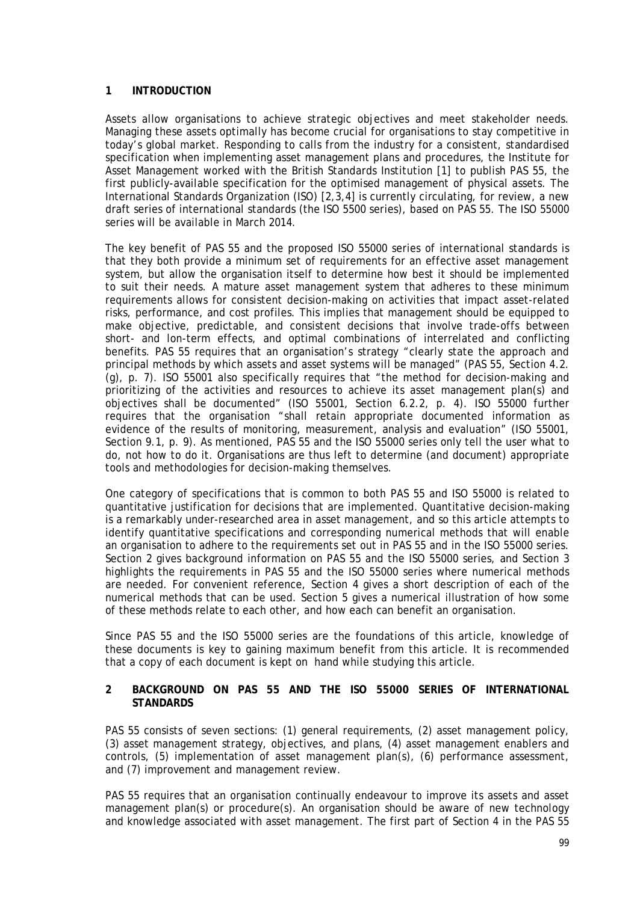## **1 INTRODUCTION**

Assets allow organisations to achieve strategic objectives and meet stakeholder needs. Managing these assets optimally has become crucial for organisations to stay competitive in today's global market. Responding to calls from the industry for a consistent, standardised specification when implementing asset management plans and procedures, the Institute for Asset Management worked with the British Standards Institution [1] to publish PAS 55, the first publicly-available specification for the optimised management of physical assets. The International Standards Organization (ISO) [2,3,4] is currently circulating, for review, a new draft series of international standards (the ISO 5500 series), based on PAS 55. The ISO 55000 series will be available in March 2014.

The key benefit of PAS 55 and the proposed ISO 55000 series of international standards is that they both provide a minimum set of requirements for an effective asset management system, but allow the organisation itself to determine how best it should be implemented to suit their needs. A mature asset management system that adheres to these minimum requirements allows for consistent decision-making on activities that impact asset-related risks, performance, and cost profiles. This implies that management should be equipped to make objective, predictable, and consistent decisions that involve trade-offs between short- and lon-term effects, and optimal combinations of interrelated and conflicting benefits. PAS 55 requires that an organisation's strategy "clearly state the approach and principal methods by which assets and asset systems will be managed" (PAS 55, Section 4.2. (g), p. 7). ISO 55001 also specifically requires that "the method for decision-making and prioritizing of the activities and resources to achieve its asset management plan(s) and objectives shall be documented" (ISO 55001, Section 6.2.2, p. 4). ISO 55000 further requires that the organisation "shall retain appropriate documented information as evidence of the results of monitoring, measurement, analysis and evaluation" (ISO 55001, Section 9.1, p. 9). As mentioned, PAS 55 and the ISO 55000 series only tell the user what to do, not how to do it. Organisations are thus left to determine (and document) appropriate tools and methodologies for decision-making themselves.

One category of specifications that is common to both PAS 55 and ISO 55000 is related to quantitative justification for decisions that are implemented. Quantitative decision-making is a remarkably under-researched area in asset management, and so this article attempts to identify quantitative specifications and corresponding numerical methods that will enable an organisation to adhere to the requirements set out in PAS 55 and in the ISO 55000 series. Section [2](#page-1-0) gives background information on PAS 55 and the ISO 55000 series, and Section [3](#page-2-0) highlights the requirements in PAS 55 and the ISO 55000 series where numerical methods are needed. For convenient reference, Section [4](#page-5-0) gives a short description of each of the numerical methods that can be used. Section [5](#page-10-0) gives a numerical illustration of how some of these methods relate to each other, and how each can benefit an organisation.

Since PAS 55 and the ISO 55000 series are the foundations of this article, knowledge of these documents is key to gaining maximum benefit from this article. It is recommended that a copy of each document is kept on hand while studying this article.

#### <span id="page-1-0"></span>**2 BACKGROUND ON PAS 55 AND THE ISO 55000 SERIES OF INTERNATIONAL STANDARDS**

PAS 55 consists of seven sections: (1) general requirements, (2) asset management policy, (3) asset management strategy, objectives, and plans, (4) asset management enablers and controls, (5) implementation of asset management plan(s), (6) performance assessment, and (7) improvement and management review.

PAS 55 requires that an organisation continually endeavour to improve its assets and asset management plan(s) or procedure(s). An organisation should be aware of new technology and knowledge associated with asset management. The first part of Section 4 in the PAS 55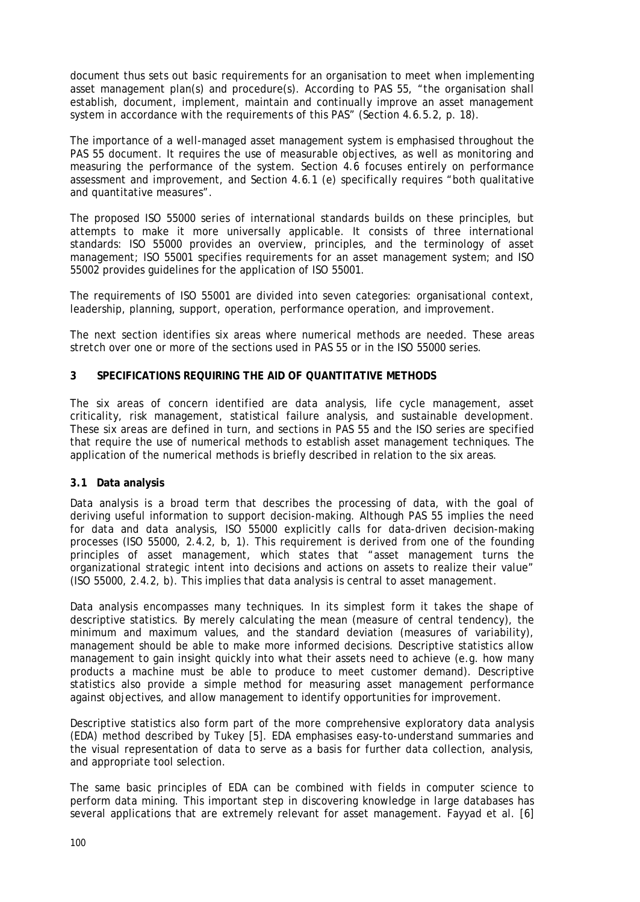document thus sets out basic requirements for an organisation to meet when implementing asset management plan(s) and procedure(s). According to PAS 55, "the organisation shall establish, document, implement, maintain and continually improve an asset management system in accordance with the requirements of this PAS" (Section 4.6.5.2, p. 18).

The importance of a well-managed asset management system is emphasised throughout the PAS 55 document. It requires the use of measurable objectives, as well as monitoring and measuring the performance of the system. Section 4.6 focuses entirely on performance assessment and improvement, and Section 4.6.1 (e) specifically requires "both qualitative and quantitative measures".

The proposed ISO 55000 series of international standards builds on these principles, but attempts to make it more universally applicable. It consists of three international standards: ISO 55000 provides an overview, principles, and the terminology of asset management; ISO 55001 specifies requirements for an asset management system; and ISO 55002 provides guidelines for the application of ISO 55001.

The requirements of ISO 55001 are divided into seven categories: organisational context, leadership, planning, support, operation, performance operation, and improvement.

The next section identifies six areas where numerical methods are needed. These areas stretch over one or more of the sections used in PAS 55 or in the ISO 55000 series.

## <span id="page-2-0"></span>**3 SPECIFICATIONS REQUIRING THE AID OF QUANTITATIVE METHODS**

The six areas of concern identified are data analysis, life cycle management, asset criticality, risk management, statistical failure analysis, and sustainable development. These six areas are defined in turn, and sections in PAS 55 and the ISO series are specified that require the use of numerical methods to establish asset management techniques. The application of the numerical methods is briefly described in relation to the six areas.

### <span id="page-2-1"></span>**3.1 Data analysis**

Data analysis is a broad term that describes the processing of data, with the goal of deriving useful information to support decision-making. Although PAS 55 implies the need for data and data analysis, ISO 55000 explicitly calls for data-driven decision-making processes (ISO 55000, 2.4.2, b, 1). This requirement is derived from one of the founding principles of asset management, which states that "asset management turns the organizational strategic intent into decisions and actions on assets to realize their value" (ISO 55000, 2.4.2, b). This implies that data analysis is central to asset management.

Data analysis encompasses many techniques. In its simplest form it takes the shape of descriptive statistics. By merely calculating the mean (measure of central tendency), the minimum and maximum values, and the standard deviation (measures of variability), management should be able to make more informed decisions. Descriptive statistics allow management to gain insight quickly into what their assets need to achieve (e.g. how many products a machine must be able to produce to meet customer demand). Descriptive statistics also provide a simple method for measuring asset management performance against objectives, and allow management to identify opportunities for improvement.

Descriptive statistics also form part of the more comprehensive exploratory data analysis (EDA) method described by Tukey [5]. EDA emphasises easy-to-understand summaries and the visual representation of data to serve as a basis for further data collection, analysis, and appropriate tool selection.

The same basic principles of EDA can be combined with fields in computer science to perform data mining. This important step in discovering knowledge in large databases has several applications that are extremely relevant for asset management. Fayyad et al. [6]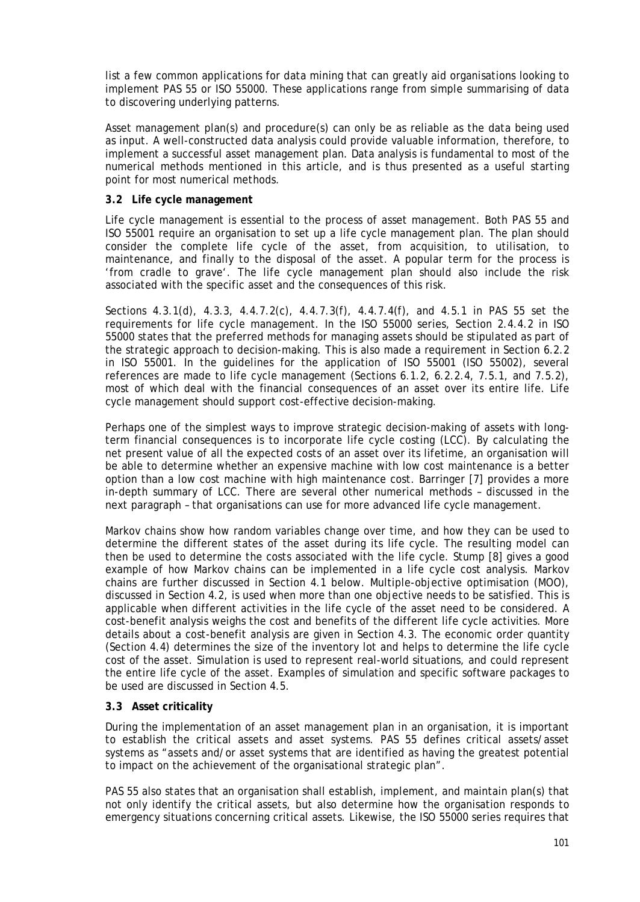list a few common applications for data mining that can greatly aid organisations looking to implement PAS 55 or ISO 55000. These applications range from simple summarising of data to discovering underlying patterns.

Asset management plan(s) and procedure(s) can only be as reliable as the data being used as input. A well-constructed data analysis could provide valuable information, therefore, to implement a successful asset management plan. Data analysis is fundamental to most of the numerical methods mentioned in this article, and is thus presented as a useful starting point for most numerical methods.

## **3.2 Life cycle management**

Life cycle management is essential to the process of asset management. Both PAS 55 and ISO 55001 require an organisation to set up a life cycle management plan. The plan should consider the complete life cycle of the asset, from acquisition, to utilisation, to maintenance, and finally to the disposal of the asset. A popular term for the process is 'from cradle to grave'. The life cycle management plan should also include the risk associated with the specific asset and the consequences of this risk.

Sections 4.3.1(d), 4.3.3, 4.4.7.2(c), 4.4.7.3(f), 4.4.7.4(f), and 4.5.1 in PAS 55 set the requirements for life cycle management. In the ISO 55000 series, Section 2.4.4.2 in ISO 55000 states that the preferred methods for managing assets should be stipulated as part of the strategic approach to decision-making. This is also made a requirement in Section 6.2.2 in ISO 55001. In the guidelines for the application of ISO 55001 (ISO 55002), several references are made to life cycle management (Sections 6.1.2, 6.2.2.4, 7.5.1, and 7.5.2), most of which deal with the financial consequences of an asset over its entire life. Life cycle management should support cost-effective decision-making.

Perhaps one of the simplest ways to improve strategic decision-making of assets with longterm financial consequences is to incorporate life cycle costing (LCC). By calculating the net present value of all the expected costs of an asset over its lifetime, an organisation will be able to determine whether an expensive machine with low cost maintenance is a better option than a low cost machine with high maintenance cost. Barringer [7] provides a more in-depth summary of LCC. There are several other numerical methods – discussed in the next paragraph – that organisations can use for more advanced life cycle management.

Markov chains show how random variables change over time, and how they can be used to determine the different states of the asset during its life cycle. The resulting model can then be used to determine the costs associated with the life cycle. Stump [8] gives a good example of how Markov chains can be implemented in a life cycle cost analysis. Markov chains are further discussed in Section [4.1](#page-5-1) below. Multiple-objective optimisation (MOO), discussed in Section [4.2,](#page-6-0) is used when more than one objective needs to be satisfied. This is applicable when different activities in the life cycle of the asset need to be considered. A cost-benefit analysis weighs the cost and benefits of the different life cycle activities. More details about a cost-benefit analysis are given in Section [4.3.](#page-6-1) The economic order quantity (Section [4.4\)](#page-6-2) determines the size of the inventory lot and helps to determine the life cycle cost of the asset. Simulation is used to represent real-world situations, and could represent the entire life cycle of the asset. Examples of simulation and specific software packages to be used are discussed in Sectio[n 4.5.](#page-7-0)

### **3.3 Asset criticality**

During the implementation of an asset management plan in an organisation, it is important to establish the critical assets and asset systems. PAS 55 defines critical assets/asset systems as "assets and/or asset systems that are identified as having the greatest potential to impact on the achievement of the organisational strategic plan".

PAS 55 also states that an organisation shall establish, implement, and maintain plan(s) that not only identify the critical assets, but also determine how the organisation responds to emergency situations concerning critical assets. Likewise, the ISO 55000 series requires that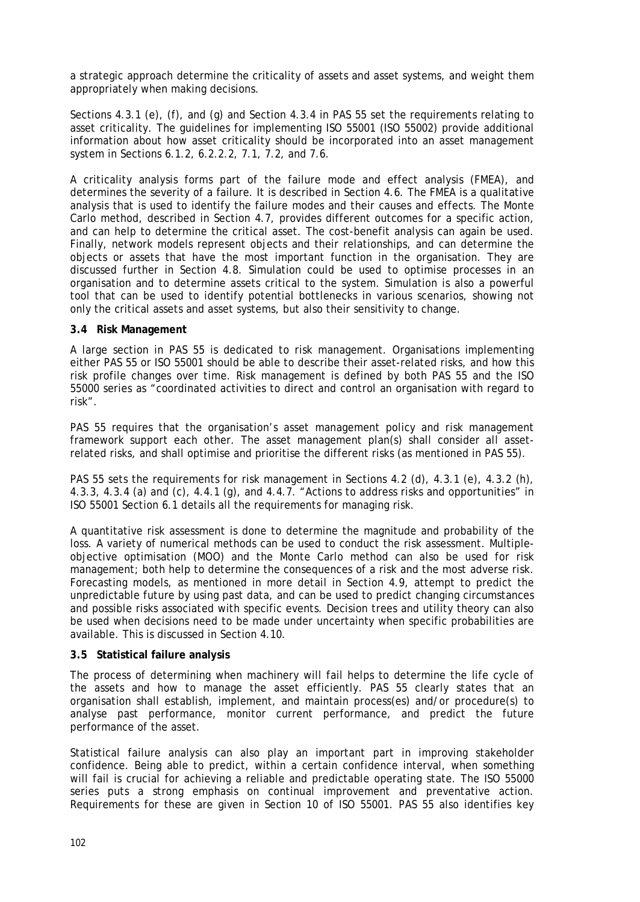a strategic approach determine the criticality of assets and asset systems, and weight them appropriately when making decisions.

Sections 4.3.1 (e), (f), and (g) and Section 4.3.4 in PAS 55 set the requirements relating to asset criticality. The guidelines for implementing ISO 55001 (ISO 55002) provide additional information about how asset criticality should be incorporated into an asset management system in Sections 6.1.2, 6.2.2.2, 7.1, 7.2, and 7.6.

A criticality analysis forms part of the failure mode and effect analysis (FMEA), and determines the severity of a failure. It is described in Section [4.6.](#page-7-1) The FMEA is a qualitative analysis that is used to identify the failure modes and their causes and effects. The Monte Carlo method, described in Section [4.7,](#page-7-2) provides different outcomes for a specific action, and can help to determine the critical asset. The cost-benefit analysis can again be used. Finally, network models represent objects and their relationships, and can determine the objects or assets that have the most important function in the organisation. They are discussed further in Section [4.8.](#page-7-3) Simulation could be used to optimise processes in an organisation and to determine assets critical to the system. Simulation is also a powerful tool that can be used to identify potential bottlenecks in various scenarios, showing not only the critical assets and asset systems, but also their sensitivity to change.

#### **3.4 Risk Management**

A large section in PAS 55 is dedicated to risk management. Organisations implementing either PAS 55 or ISO 55001 should be able to describe their asset-related risks, and how this risk profile changes over time. Risk management is defined by both PAS 55 and the ISO 55000 series as "coordinated activities to direct and control an organisation with regard to risk".

PAS 55 requires that the organisation's asset management policy and risk management framework support each other. The asset management plan(s) shall consider all assetrelated risks, and shall optimise and prioritise the different risks (as mentioned in PAS 55).

PAS 55 sets the requirements for risk management in Sections 4.2 (d), 4.3.1 (e), 4.3.2 (h), 4.3.3, 4.3.4 (a) and (c), 4.4.1 (g), and 4.4.7. "Actions to address risks and opportunities" in ISO 55001 Section 6.1 details all the requirements for managing risk.

A quantitative risk assessment is done to determine the magnitude and probability of the loss. A variety of numerical methods can be used to conduct the risk assessment. Multipleobjective optimisation (MOO) and the Monte Carlo method can also be used for risk management; both help to determine the consequences of a risk and the most adverse risk. Forecasting models, as mentioned in more detail in Section [4.9,](#page-7-4) attempt to predict the unpredictable future by using past data, and can be used to predict changing circumstances and possible risks associated with specific events. Decision trees and utility theory can also be used when decisions need to be made under uncertainty when specific probabilities are available. This is discussed in Section [4.10.](#page-9-0)

### **3.5 Statistical failure analysis**

The process of determining when machinery will fail helps to determine the life cycle of the assets and how to manage the asset efficiently. PAS 55 clearly states that an organisation shall establish, implement, and maintain process(es) and/or procedure(s) to analyse past performance, monitor current performance, and predict the future performance of the asset.

Statistical failure analysis can also play an important part in improving stakeholder confidence. Being able to predict, within a certain confidence interval, when something will fail is crucial for achieving a reliable and predictable operating state. The ISO 55000 series puts a strong emphasis on continual improvement and preventative action. Requirements for these are given in Section 10 of ISO 55001. PAS 55 also identifies key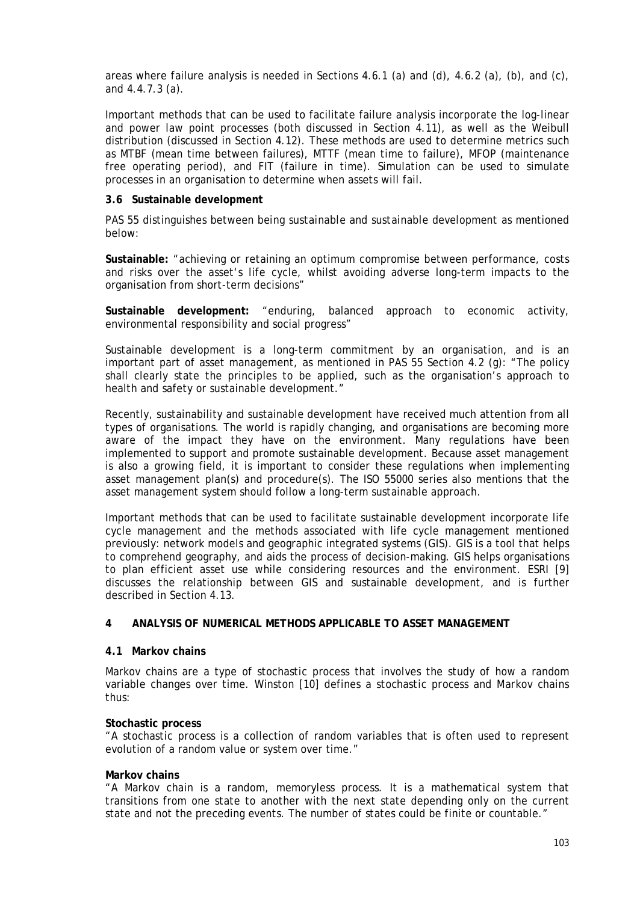areas where failure analysis is needed in Sections 4.6.1 (a) and (d), 4.6.2 (a), (b), and (c), and 4.4.7.3 (a).

Important methods that can be used to facilitate failure analysis incorporate the log-linear and power law point processes (both discussed in Section [4.11\)](#page-9-1), as well as the Weibull distribution (discussed in Section [4.12\)](#page-10-1). These methods are used to determine metrics such as MTBF (mean time between failures), MTTF (mean time to failure), MFOP (maintenance free operating period), and FIT (failure in time). Simulation can be used to simulate processes in an organisation to determine when assets will fail.

#### **3.6 Sustainable development**

PAS 55 distinguishes between *being sustainable* and *sustainable development* as mentioned below:

**Sustainable:** "achieving or retaining an optimum compromise between performance, costs and risks over the asset's life cycle, whilst avoiding adverse long-term impacts to the organisation from short-term decisions"

**Sustainable development:** "enduring, balanced approach to economic activity, environmental responsibility and social progress"

Sustainable development is a long-term commitment by an organisation, and is an important part of asset management, as mentioned in PAS 55 Section 4.2 (g): "The policy shall clearly state the principles to be applied, such as the organisation's approach to health and safety or sustainable development."

Recently, sustainability and sustainable development have received much attention from all types of organisations. The world is rapidly changing, and organisations are becoming more aware of the impact they have on the environment. Many regulations have been implemented to support and promote sustainable development. Because asset management is also a growing field, it is important to consider these regulations when implementing asset management plan(s) and procedure(s). The ISO 55000 series also mentions that the asset management system should follow a long-term sustainable approach.

Important methods that can be used to facilitate sustainable development incorporate life cycle management and the methods associated with life cycle management mentioned previously: network models and geographic integrated systems (GIS). GIS is a tool that helps to comprehend geography, and aids the process of decision-making. GIS helps organisations to plan efficient asset use while considering resources and the environment. ESRI [9] discusses the relationship between GIS and sustainable development, and is further described in Section [4.13.](#page-10-2)

### <span id="page-5-0"></span>**4 ANALYSIS OF NUMERICAL METHODS APPLICABLE TO ASSET MANAGEMENT**

## <span id="page-5-1"></span>**4.1 Markov chains**

Markov chains are a type of stochastic process that involves the study of how a random variable changes over time. Winston [10] defines a *stochastic process* and *Markov chains* thus:

#### **Stochastic process**

"A stochastic process is a collection of random variables that is often used to represent evolution of a random value or system over time."

#### **Markov chains**

"A Markov chain is a random, memoryless process. It is a mathematical system that transitions from one state to another with the next state depending only on the current state and not the preceding events. The number of states could be finite or countable."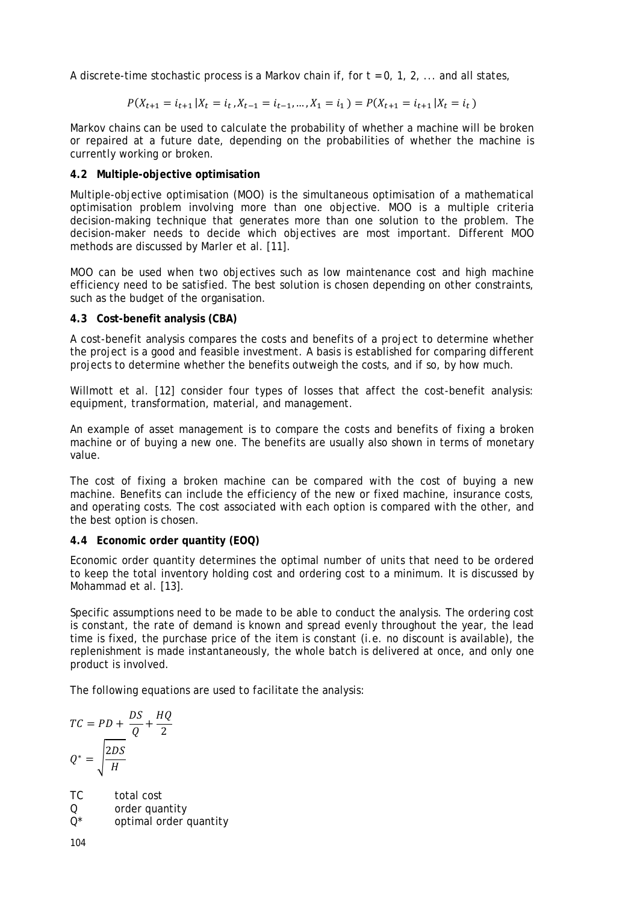A discrete-time stochastic process is a Markov chain if, for *t* = 0, 1, 2, ... and all states,

$$
P(X_{t+1} = i_{t+1} | X_t = i_t, X_{t-1} = i_{t-1}, ..., X_1 = i_1) = P(X_{t+1} = i_{t+1} | X_t = i_t)
$$

Markov chains can be used to calculate the probability of whether a machine will be broken or repaired at a future date, depending on the probabilities of whether the machine is currently working or broken.

# <span id="page-6-0"></span>**4.2 Multiple-objective optimisation**

Multiple-objective optimisation (MOO) is the simultaneous optimisation of a mathematical optimisation problem involving more than one objective. MOO is a multiple criteria decision-making technique that generates more than one solution to the problem. The decision-maker needs to decide which objectives are most important. Different MOO methods are discussed by Marler et al. [11].

MOO can be used when two objectives such as low maintenance cost and high machine efficiency need to be satisfied. The best solution is chosen depending on other constraints, such as the budget of the organisation.

# <span id="page-6-1"></span>**4.3 Cost-benefit analysis (CBA)**

A cost-benefit analysis compares the costs and benefits of a project to determine whether the project is a good and feasible investment. A basis is established for comparing different projects to determine whether the benefits outweigh the costs, and if so, by how much.

Willmott et al. [12] consider four types of losses that affect the cost-benefit analysis: equipment, transformation, material, and management.

An example of asset management is to compare the costs and benefits of fixing a broken machine or of buying a new one. The benefits are usually also shown in terms of monetary value.

The cost of fixing a broken machine can be compared with the cost of buying a new machine. Benefits can include the efficiency of the new or fixed machine, insurance costs, and operating costs. The cost associated with each option is compared with the other, and the best option is chosen.

# <span id="page-6-2"></span>**4.4 Economic order quantity (EOQ)**

Economic order quantity determines the optimal number of units that need to be ordered to keep the total inventory holding cost and ordering cost to a minimum. It is discussed by Mohammad et al. [13].

Specific assumptions need to be made to be able to conduct the analysis. The ordering cost is constant, the rate of demand is known and spread evenly throughout the year, the lead time is fixed, the purchase price of the item is constant (i.e. no discount is available), the replenishment is made instantaneously, the whole batch is delivered at once, and only one product is involved.

The following equations are used to facilitate the analysis:

$$
TC = PD + \frac{DS}{Q} + \frac{HQ}{2}
$$

$$
Q^* = \sqrt{\frac{2DS}{H}}
$$

*TC* total cost *Q* order quantity

$$
Q^*
$$
 *optimal order quantity*

104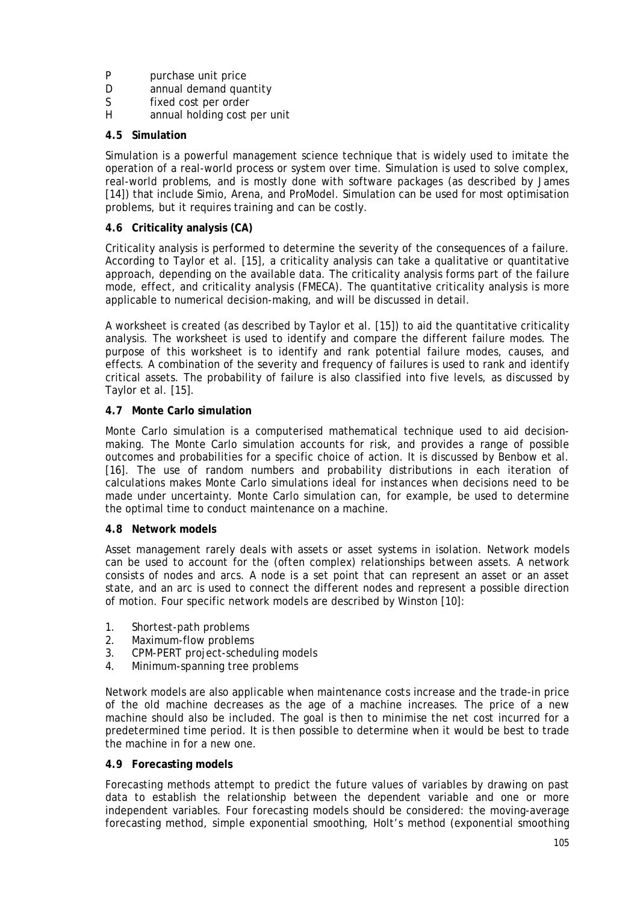- *P* purchase unit price<br>*D* annual demand qua
- *D* annual demand quantity<br>*S* fixed cost per order
- *S* fixed cost per order<br>*H* annual holding cost i
- annual holding cost per unit

# <span id="page-7-0"></span>**4.5 Simulation**

Simulation is a powerful management science technique that is widely used to imitate the operation of a real-world process or system over time. Simulation is used to solve complex, real-world problems, and is mostly done with software packages (as described by James [14]) that include Simio, Arena, and ProModel. Simulation can be used for most optimisation problems, but it requires training and can be costly.

# <span id="page-7-1"></span>**4.6 Criticality analysis (CA)**

Criticality analysis is performed to determine the severity of the consequences of a failure. According to Taylor et al. [15], a criticality analysis can take a qualitative or quantitative approach, depending on the available data. The criticality analysis forms part of the failure mode, effect, and criticality analysis (FMECA). The quantitative criticality analysis is more applicable to numerical decision-making, and will be discussed in detail.

A worksheet is created (as described by Taylor et al. [15]) to aid the quantitative criticality analysis. The worksheet is used to identify and compare the different failure modes. The purpose of this worksheet is to identify and rank potential failure modes, causes, and effects. A combination of the severity and frequency of failures is used to rank and identify critical assets. The probability of failure is also classified into five levels, as discussed by Taylor et al. [15].

# <span id="page-7-2"></span>**4.7 Monte Carlo simulation**

Monte Carlo simulation is a computerised mathematical technique used to aid decisionmaking. The Monte Carlo simulation accounts for risk, and provides a range of possible outcomes and probabilities for a specific choice of action. It is discussed by Benbow et al. [16]. The use of random numbers and probability distributions in each iteration of calculations makes Monte Carlo simulations ideal for instances when decisions need to be made under uncertainty. Monte Carlo simulation can, for example, be used to determine the optimal time to conduct maintenance on a machine.

# <span id="page-7-3"></span>**4.8 Network models**

Asset management rarely deals with assets or asset systems in isolation. Network models can be used to account for the (often complex) relationships between assets. A network consists of nodes and arcs. A node is a set point that can represent an asset or an asset state, and an arc is used to connect the different nodes and represent a possible direction of motion. Four specific network models are described by Winston [10]:

- 1. Shortest-path problems
- 2. Maximum-flow problems
- 3. CPM-PERT project-scheduling models
- 4. Minimum-spanning tree problems

Network models are also applicable when maintenance costs increase and the trade-in price of the old machine decreases as the age of a machine increases. The price of a new machine should also be included. The goal is then to minimise the net cost incurred for a predetermined time period. It is then possible to determine when it would be best to trade the machine in for a new one.

# <span id="page-7-4"></span>**4.9 Forecasting models**

Forecasting methods attempt to predict the future values of variables by drawing on past data to establish the relationship between the dependent variable and one or more independent variables. Four forecasting models should be considered: the moving-average forecasting method, simple exponential smoothing, Holt's method (exponential smoothing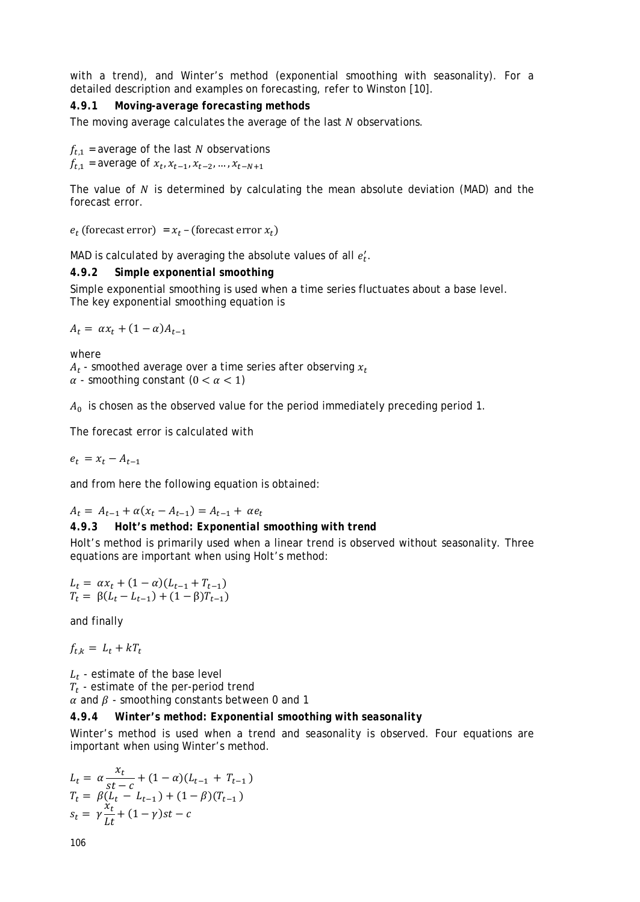with a trend), and Winter's method (exponential smoothing with seasonality). For a detailed description and examples on forecasting, refer to Winston [10].

### *4.9.1 Moving-average forecasting methods*

The moving average calculates the average of the last  $N$  observations.

 $f_{t,1}$  = average of the last N observations  $f_{t,1}$  = average of  $x_t, x_{t-1}, x_{t-2}, \ldots, x_{t-N+1}$ 

The value of  $N$  is determined by calculating the mean absolute deviation (MAD) and the forecast error.

 $e_t$  (forecast error) =  $x_t$  – (forecast error  $x_t$ )

MAD is calculated by averaging the absolute values of all  $e_t^\prime.$ 

#### *4.9.2 Simple exponential smoothing*

Simple exponential smoothing is used when a time series fluctuates about a base level. The key exponential smoothing equation is

 $A_t = \alpha x_t + (1 - \alpha) A_{t-1}$ 

where

 $A_t$  - smoothed average over a time series after observing  $x_t$  $\alpha$  - smoothing constant  $(0 < \alpha < 1)$ 

 $A_0$  is chosen as the observed value for the period immediately preceding period 1.

The forecast error is calculated with

 $e_t = x_t - A_{t-1}$ 

and from here the following equation is obtained:

 $A_t = A_{t-1} + \alpha (x_t - A_{t-1}) = A_{t-1} + \alpha e_t$ 

## *4.9.3 Holt's method: Exponential smoothing with trend*

Holt's method is primarily used when a linear trend is observed without seasonality. Three equations are important when using Holt's method:

$$
L_t = \alpha x_t + (1 - \alpha)(L_{t-1} + T_{t-1})
$$
  
\n
$$
T_t = \beta(L_t - L_{t-1}) + (1 - \beta)T_{t-1})
$$

and finally

 $f_{t k} = L_t + kT_t$ 

 $L_t$  - estimate of the base level  $T_t$  - estimate of the per-period trend  $\alpha$  and  $\beta$  - smoothing constants between 0 and 1

### *4.9.4 Winter's method: Exponential smoothing with seasonality*

Winter's method is used when a trend and seasonality is observed. Four equations are important when using Winter's method.

$$
L_{t} = \alpha \frac{x_{t}}{st - c} + (1 - \alpha)(L_{t-1} + T_{t-1})
$$
  
\n
$$
T_{t} = \beta (L_{t} - L_{t-1}) + (1 - \beta)(T_{t-1})
$$
  
\n
$$
s_{t} = \gamma \frac{x_{t}}{Lt} + (1 - \gamma)st - c
$$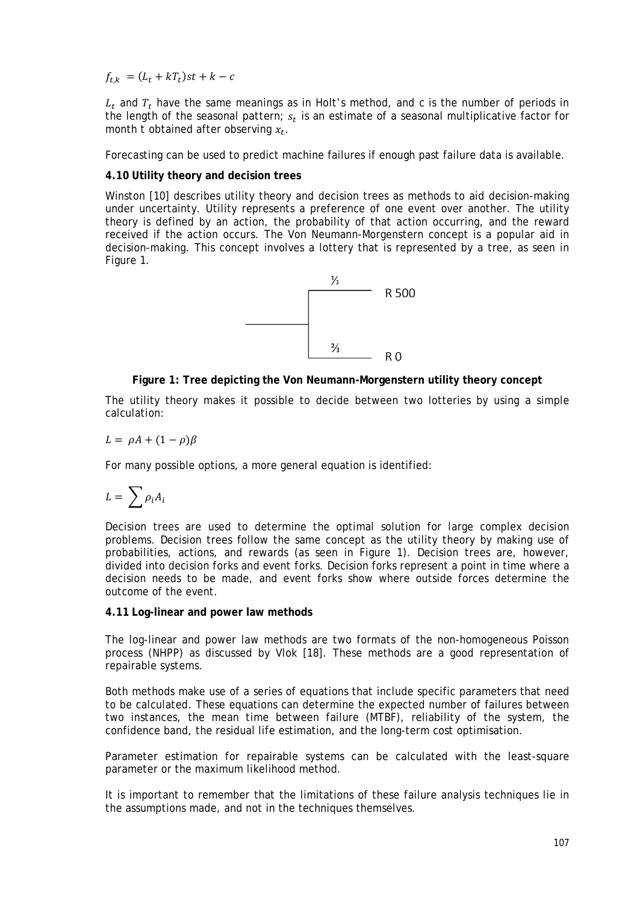$f_{t,k} = (L_t + kT_t)st + k - c$ 

 $L_t$  and  $T_t$  have the same meanings as in Holt's method, and  $c$  is the number of periods in the length of the seasonal pattern;  $s_t$  is an estimate of a seasonal multiplicative factor for month *t* obtained after observing  $x_t$ .

Forecasting can be used to predict machine failures if enough past failure data is available.

## <span id="page-9-0"></span>**4.10 Utility theory and decision trees**

Winston [10] describes utility theory and decision trees as methods to aid decision-making under uncertainty. Utility represents a preference of one event over another. The utility theory is defined by an action, the probability of that action occurring, and the reward received if the action occurs. The Von Neumann-Morgenstern concept is a popular aid in decision-making. This concept involves a lottery that is represented by a tree, as seen in [Figure 1.](#page-9-2)



### **Figure 1: Tree depicting the Von Neumann-Morgenstern utility theory concept**

<span id="page-9-2"></span>The utility theory makes it possible to decide between two lotteries by using a simple calculation:

$$
L = \rho A + (1 - \rho)\beta
$$

For many possible options, a more general equation is identified:

$$
L=\sum \rho_i A_i
$$

Decision trees are used to determine the optimal solution for large complex decision problems. Decision trees follow the same concept as the utility theory by making use of probabilities, actions, and rewards (as seen in [Figure 1\)](#page-9-2). Decision trees are, however, divided into *decision forks* and *event forks*. Decision forks represent a point in time where a decision needs to be made, and event forks show where outside forces determine the outcome of the event.

#### <span id="page-9-1"></span>**4.11 Log-linear and power law methods**

The log-linear and power law methods are two formats of the non-homogeneous Poisson process (NHPP) as discussed by Vlok [18]. These methods are a good representation of repairable systems.

Both methods make use of a series of equations that include specific parameters that need to be calculated. These equations can determine the expected number of failures between two instances, the mean time between failure (MTBF), reliability of the system, the confidence band, the residual life estimation, and the long-term cost optimisation.

Parameter estimation for repairable systems can be calculated with the least-square parameter or the maximum likelihood method.

It is important to remember that the limitations of these failure analysis techniques lie in the assumptions made, and not in the techniques themselves.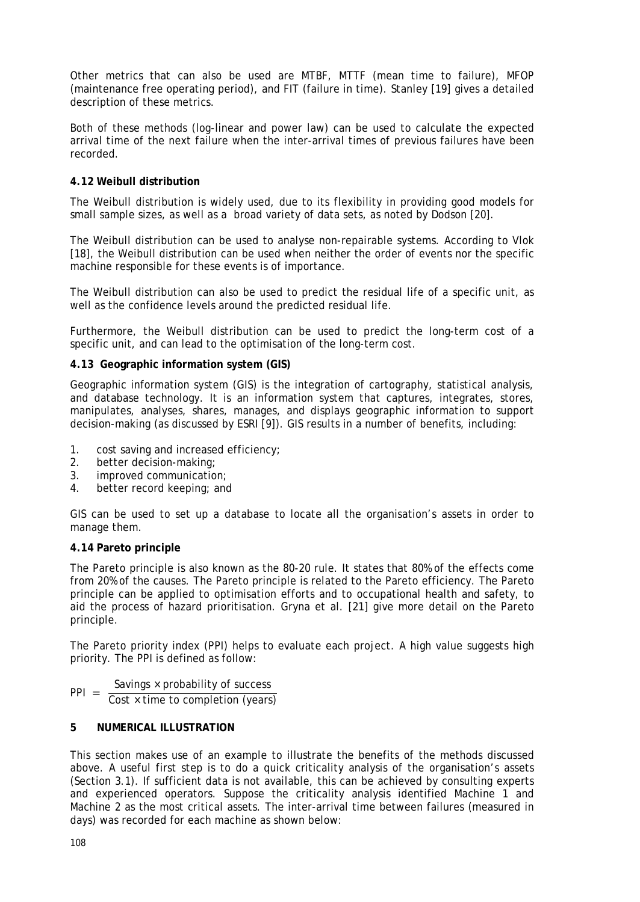Other metrics that can also be used are MTBF, MTTF (mean time to failure), MFOP (maintenance free operating period), and FIT (failure in time). Stanley [19] gives a detailed description of these metrics.

Both of these methods (log-linear and power law) can be used to calculate the expected arrival time of the next failure when the inter-arrival times of previous failures have been recorded.

## <span id="page-10-1"></span>**4.12 Weibull distribution**

The Weibull distribution is widely used, due to its flexibility in providing good models for small sample sizes, as well as a broad variety of data sets, as noted by Dodson [20].

The Weibull distribution can be used to analyse non-repairable systems. According to Vlok [18], the Weibull distribution can be used when neither the order of events nor the specific machine responsible for these events is of importance.

The Weibull distribution can also be used to predict the residual life of a specific unit, as well as the confidence levels around the predicted residual life.

Furthermore, the Weibull distribution can be used to predict the long-term cost of a specific unit, and can lead to the optimisation of the long-term cost.

### <span id="page-10-2"></span>**4.13 Geographic information system (GIS)**

Geographic information system (GIS) is the integration of cartography, statistical analysis, and database technology. It is an information system that captures, integrates, stores, manipulates, analyses, shares, manages, and displays geographic information to support decision-making (as discussed by ESRI [9]). GIS results in a number of benefits, including:

- 1. cost saving and increased efficiency;
- 2. better decision-making;
- 3. improved communication;
- 4. better record keeping; and

GIS can be used to set up a database to locate all the organisation's assets in order to manage them.

### **4.14 Pareto principle**

The Pareto principle is also known as the 80-20 rule. It states that 80% of the effects come from 20% of the causes. The Pareto principle is related to the Pareto efficiency. The Pareto principle can be applied to optimisation efforts and to occupational health and safety, to aid the process of hazard prioritisation. Gryna et al. [21] give more detail on the Pareto principle.

The Pareto priority index (PPI) helps to evaluate each project. A high value suggests high priority. The PPI is defined as follow:

 $PPI = \frac{\text{Savings} \times \text{probability of success}}{\text{Cost} \times \text{time to completion (years)}}$ 

## <span id="page-10-0"></span>**5 NUMERICAL ILLUSTRATION**

This section makes use of an example to illustrate the benefits of the methods discussed above. A useful first step is to do a quick criticality analysis of the organisation's assets (Section [3.1\)](#page-2-1). If sufficient data is not available, this can be achieved by consulting experts and experienced operators. Suppose the criticality analysis identified Machine 1 and Machine 2 as the most critical assets. The inter-arrival time between failures (measured in days) was recorded for each machine as shown below: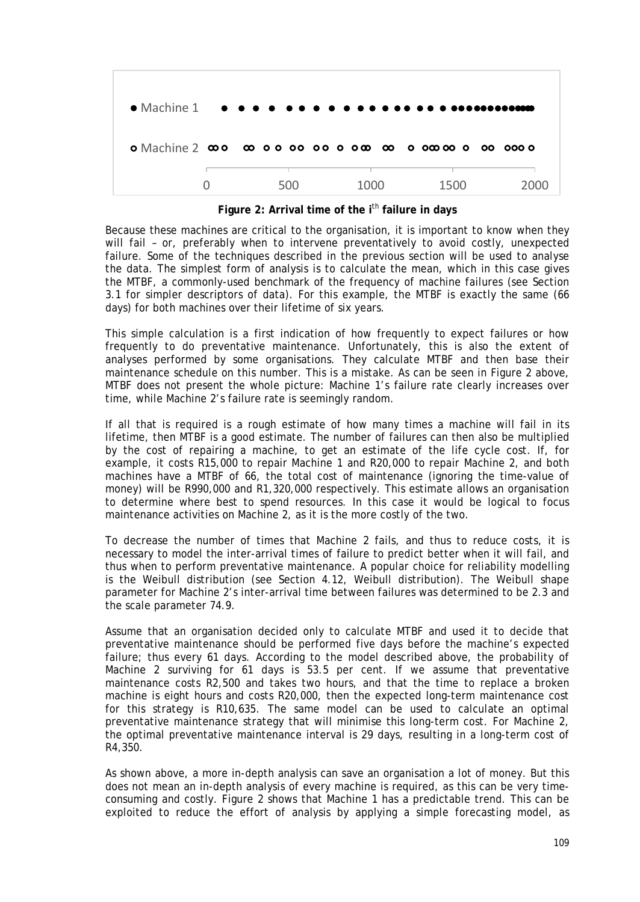

**Figure 2: Arrival time of the i**th **failure in days**

<span id="page-11-0"></span>Because these machines are critical to the organisation, it is important to know when they will fail – or, preferably when to intervene preventatively to avoid costly, unexpected failure. Some of the techniques described in the previous section will be used to analyse the data. The simplest form of analysis is to calculate the mean, which in this case gives the MTBF, a commonly-used benchmark of the frequency of machine failures (see Section [3.1](#page-2-1) for simpler descriptors of data). For this example, the MTBF is exactly the same (66 days) for both machines over their lifetime of six years.

This simple calculation is a first indication of how frequently to expect failures or how frequently to do preventative maintenance. Unfortunately, this is also the extent of analyses performed by some organisations. They calculate MTBF and then base their maintenance schedule on this number. This is a mistake. As can be seen in [Figure 2](#page-11-0) above, MTBF does not present the whole picture: Machine 1's failure rate clearly increases over time, while Machine 2's failure rate is seemingly random.

If all that is required is a rough estimate of how many times a machine will fail in its lifetime, then MTBF is a good estimate. The number of failures can then also be multiplied by the cost of repairing a machine, to get an estimate of the life cycle cost. If, for example, it costs R15,000 to repair Machine 1 and R20,000 to repair Machine 2, and both machines have a MTBF of 66, the total cost of maintenance (ignoring the time-value of money) will be R990,000 and R1,320,000 respectively. This estimate allows an organisation to determine where best to spend resources. In this case it would be logical to focus maintenance activities on Machine 2, as it is the more costly of the two.

To decrease the number of times that Machine 2 fails, and thus to reduce costs, it is necessary to model the inter-arrival times of failure to predict better when it will fail, and thus when to perform preventative maintenance. A popular choice for reliability modelling is the Weibull distribution (see Section [4.12,](#page-10-1) [Weibull distribution\)](#page-10-1). The Weibull shape parameter for Machine 2's inter-arrival time between failures was determined to be 2.3 and the scale parameter 74.9.

Assume that an organisation decided only to calculate MTBF and used it to decide that preventative maintenance should be performed five days before the machine's expected failure; thus every 61 days. According to the model described above, the probability of Machine 2 surviving for 61 days is 53.5 per cent. If we assume that preventative maintenance costs R2,500 and takes two hours, and that the time to replace a broken machine is eight hours and costs R20,000, then the expected long-term maintenance cost for this strategy is R10,635. The same model can be used to calculate an optimal preventative maintenance strategy that will minimise this long-term cost. For Machine 2, the optimal preventative maintenance interval is 29 days, resulting in a long-term cost of R4,350.

As shown above, a more in-depth analysis can save an organisation a lot of money. But this does not mean an in-depth analysis of every machine is required, as this can be very timeconsuming and costly. [Figure 2](#page-11-0) shows that Machine 1 has a predictable trend. This can be exploited to reduce the effort of analysis by applying a simple forecasting model, as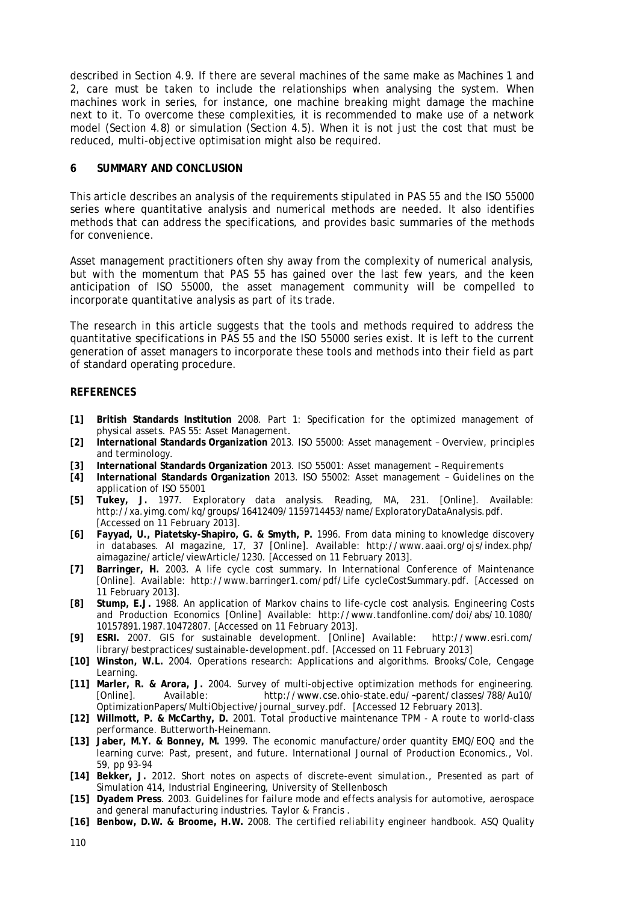described in Section [4.9.](#page-7-4) If there are several machines of the same make as Machines 1 and 2, care must be taken to include the relationships when analysing the system. When machines work in series, for instance, one machine breaking might damage the machine next to it. To overcome these complexities, it is recommended to make use of a network model (Section [4.8\)](#page-7-3) or simulation (Section [4.5\)](#page-7-0). When it is not just the cost that must be reduced, multi-objective optimisation might also be required.

### **6 SUMMARY AND CONCLUSION**

This article describes an analysis of the requirements stipulated in PAS 55 and the ISO 55000 series where quantitative analysis and numerical methods are needed. It also identifies methods that can address the specifications, and provides basic summaries of the methods for convenience.

Asset management practitioners often shy away from the complexity of numerical analysis, but with the momentum that PAS 55 has gained over the last few years, and the keen anticipation of ISO 55000, the asset management community will be compelled to incorporate quantitative analysis as part of its trade.

The research in this article suggests that the tools and methods required to address the quantitative specifications in PAS 55 and the ISO 55000 series exist. It is left to the current generation of asset managers to incorporate these tools and methods into their field as part of standard operating procedure.

### **REFERENCES**

- **[1] British Standards Institution** 2008. *Part 1: Specification for the optimized management of physical assets*. PAS 55: Asset Management.
- **[2] International Standards Organization** 2013. ISO 55000: *Asset management – Overview, principles and terminology.*
- **[3] International Standards Organization** 2013. ISO 55001: *Asset management – Requirements*
- **[4] International Standards Organization** 2013. ISO 55002: *Asset management – Guidelines on the application of ISO 55001*
- **[5] Tukey, J.** 1977. *Exploratory data analysis*. Reading, MA, 231. [Online]. Available: [http://xa.yimg.com/kq/groups/16412409/1159714453/name/ExploratoryDataAnalysis.pdf.](http://xa.yimg.com/kq/groups/16412409/1159714453/name/ExploratoryDataAnalysis.pdf) [Accessed on 11 February 2013].
- **[6] Fayyad, U., Piatetsky-Shapiro, G. & Smyth, P.** 1996. From data mining to knowledge discovery in databases. *AI magazine*, 17, 37 [Online]. Available: [http://www.aaai.org/ojs/index.php/](http://www.aaai.org/ojs/index.php/aimagazine/article/viewArticle/1230) [aimagazine/article/viewArticle/1230.](http://www.aaai.org/ojs/index.php/aimagazine/article/viewArticle/1230) [Accessed on 11 February 2013].
- **[7] Barringer, H.** 2003. A life cycle cost summary. In *International Conference of Maintenance* [Online]. Available: [http://www.barringer1.com/pdf/Life cycleCostSummary.pdf.](http://www.barringer1.com/pdf/LifeCycleCostSummary.pdf) [Accessed on 11 February 2013].
- **[8] Stump, E.J.** 1988*.* An application of Markov chains to life-cycle cost analysis. *Engineering Costs and Production Economics* [Online] Available: [http://www.tandfonline.com/doi/abs/10.1080/](http://www.tandfonline.com/doi/abs/10.1080/10157891.1987.10472807) [10157891.1987.10472807.](http://www.tandfonline.com/doi/abs/10.1080/10157891.1987.10472807) [Accessed on 11 February 2013].
- **[9] ESRI.** 2007. GIS for sustainable development*.* [Online] Available: [http://www.esri.com/](http://www.esri.com/library/bestpractices/sustainable-development.pdf) [library/bestpractices/sustainable-development.pdf.](http://www.esri.com/library/bestpractices/sustainable-development.pdf) [Accessed on 11 February 2013]
- **[10] Winston, W.L.** 2004. *Operations research: Applications and algorithms*. Brooks/Cole, Cengage Learning.
- **[11] Marler, R. & Arora, J.** 2004. Survey of multi-objective optimization methods for engineering. [http://www.cse.ohio-state.edu/~parent/classes/788/Au10/](http://www.cse.ohio-state.edu/%7Eparent/classes/788/Au10/OptimizationPapers/MultiObjective/journal_survey.pdf) [OptimizationPapers/MultiObjective/journal\\_survey.pdf.](http://www.cse.ohio-state.edu/%7Eparent/classes/788/Au10/OptimizationPapers/MultiObjective/journal_survey.pdf) [Accessed 12 February 2013].
- **[12] Willmott, P. & McCarthy, D.** 2001. *Total productive maintenance TPM - A route to world-class performance*. Butterworth-Heinemann.
- **[13] Jaber, M.Y. & Bonney, M.** 1999. The economic manufacture/order quantity EMQ/EOQ and the learning curve: Past, present, and future. *International Journal of Production Economics*., Vol. 59, pp 93-94
- **[14] Bekker, J.** 2012. *Short notes on aspects of discrete-event simulation*., Presented as part of Simulation 414, Industrial Engineering, University of Stellenbosch
- **[15] Dyadem Press**. 2003. *Guidelines for failure mode and effects analysis for automotive, aerospace and general manufacturing industries*. Taylor & Francis .
- **[16] Benbow, D.W. & Broome, H.W.** 2008. *The certified reliability engineer handbook*. ASQ Quality